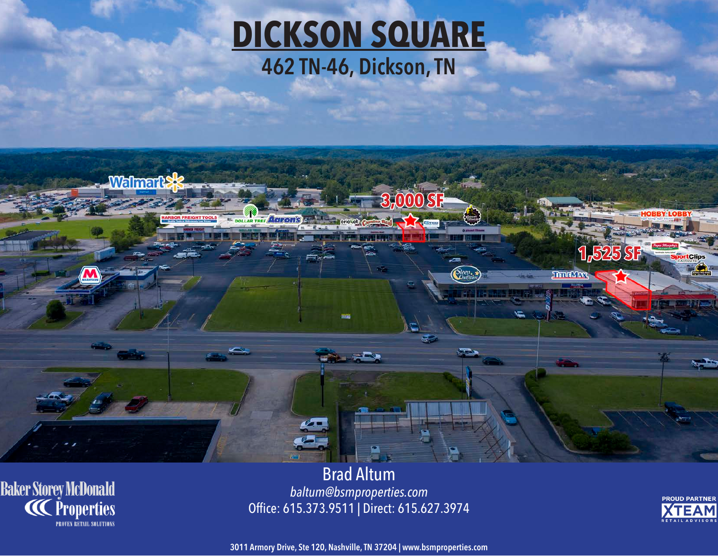## **DICKSON SQUARE 462 TN-46, Dickson, TN**



**Baker Storey McDonald<br>CC Properties PROVEN RETAIL SOLUTIONS** 

Brad Altum *baltum@bsmproperties.com* Office: 615.373.9511 | Direct: 615.627.3974



**3011 Armory Drive, Ste 120, Nashville, TN 37204 | www.bsmproperties.com**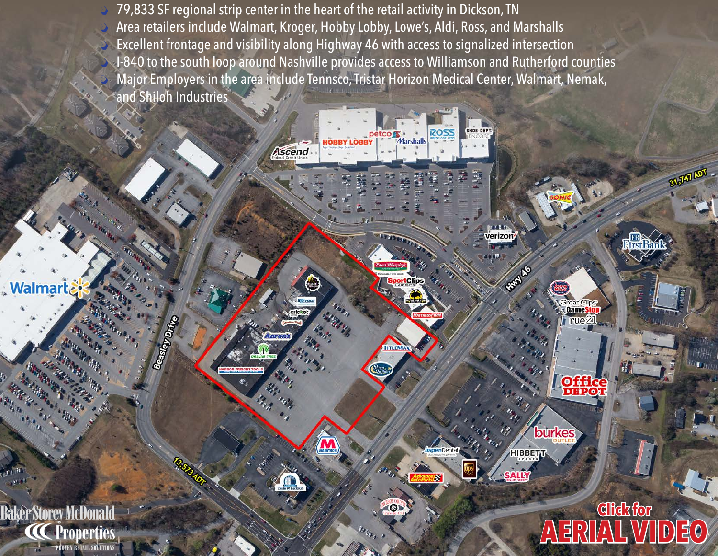$\mathcal{D}% _{M_{1},M_{2}}^{\alpha,\beta}(\varepsilon)$  79,833 SF regional strip center in the heart of the retail activity in Dickson, TN  $\sum_{i=1}^n a_i$  Area retailers include Walmart, Kroger, Hobby Lobby, Lowe's, Aldi, Ross, and Marshalls  $\sum_{i=1}^{n}$  Excellent frontage and visibility along Highway 46 with access to signalized intersection › I-840 to the south loop around Nashville provides access to Williamson and Rutherford counties  $\mathcal{D}% _{M_{1},M_{2}}^{\alpha,\beta}(\varepsilon)$  Major Employers in the area include Tennsco, Tristar Horizon Medical Center, Walmart, Nemak, and Shiloh Industries

**Ascend** 

**Walmart** 

**Baker Storey McDonald** 

**Properties PROVEN RETAIL SOLUTIONS**  Beastey Drive

Marshalls

**TITLEM** 

 $\Theta$ 

HOE OFPT

verizor

REA

reat Clips Games

rue<sup>2</sup>

**Office** 

**burkes** 

HIBBETT

**SALLY** 

**Click for**

**[AERIAL VIDEO](https://youtu.be/dWENJ16HUQ4)**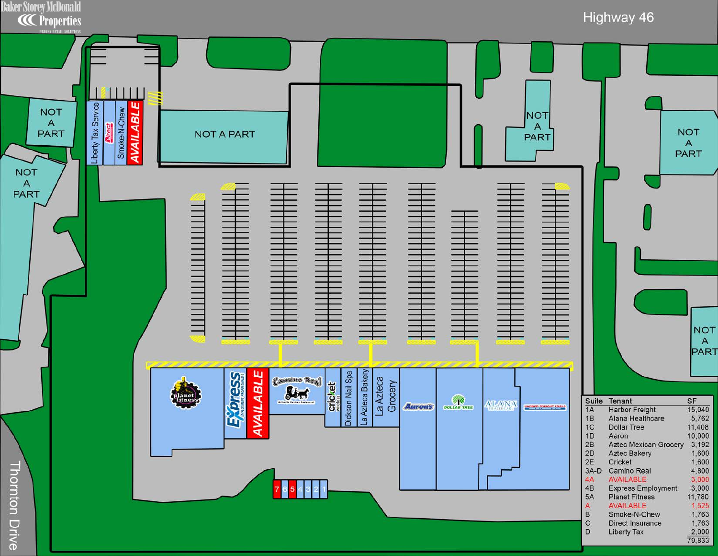